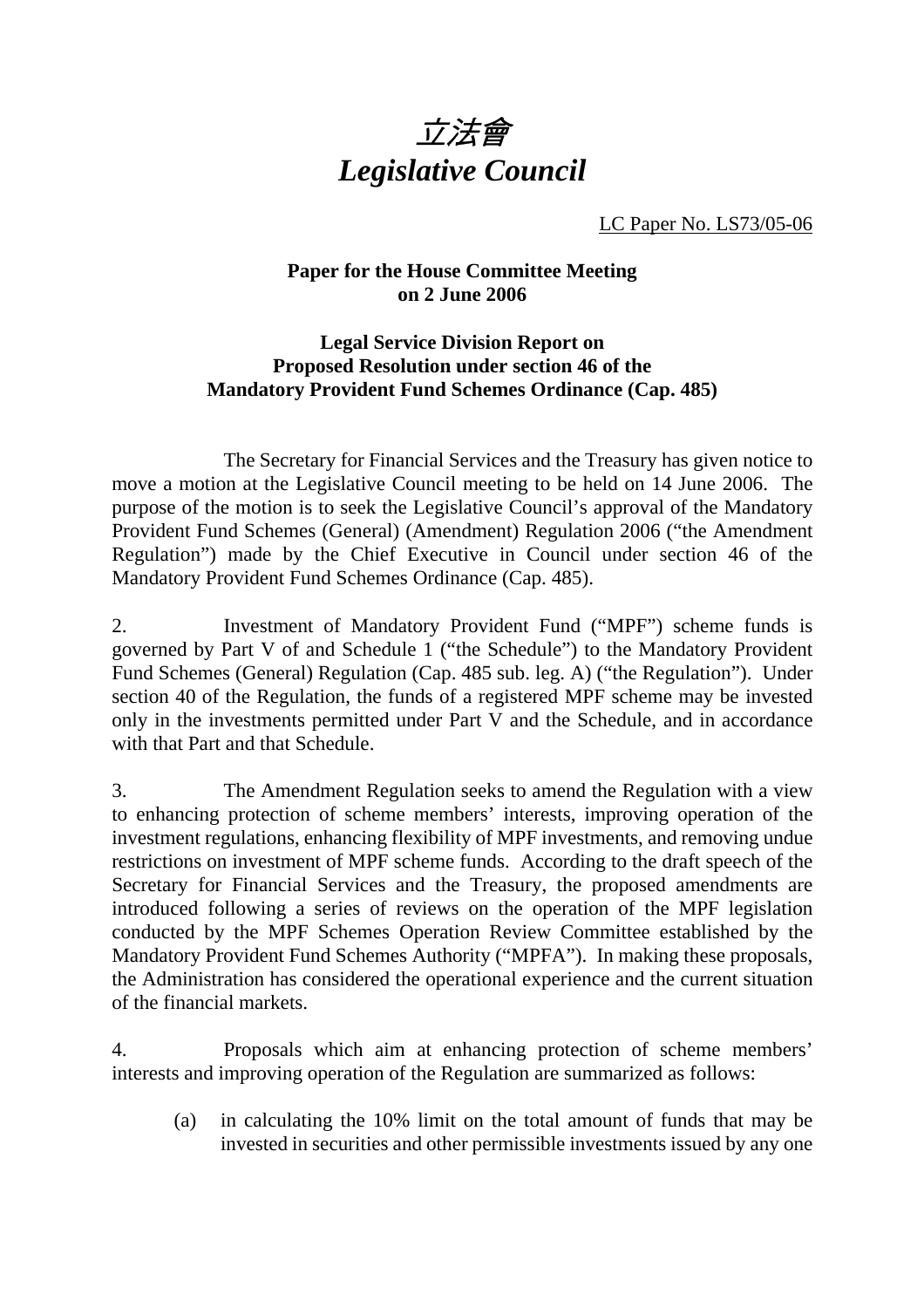

LC Paper No. LS73/05-06

## **Paper for the House Committee Meeting on 2 June 2006**

## **Legal Service Division Report on Proposed Resolution under section 46 of the Mandatory Provident Fund Schemes Ordinance (Cap. 485)**

 The Secretary for Financial Services and the Treasury has given notice to move a motion at the Legislative Council meeting to be held on 14 June 2006. The purpose of the motion is to seek the Legislative Council's approval of the Mandatory Provident Fund Schemes (General) (Amendment) Regulation 2006 ("the Amendment Regulation") made by the Chief Executive in Council under section 46 of the Mandatory Provident Fund Schemes Ordinance (Cap. 485).

2. Investment of Mandatory Provident Fund ("MPF") scheme funds is governed by Part V of and Schedule 1 ("the Schedule") to the Mandatory Provident Fund Schemes (General) Regulation (Cap. 485 sub. leg. A) ("the Regulation"). Under section 40 of the Regulation, the funds of a registered MPF scheme may be invested only in the investments permitted under Part V and the Schedule, and in accordance with that Part and that Schedule.

3. The Amendment Regulation seeks to amend the Regulation with a view to enhancing protection of scheme members' interests, improving operation of the investment regulations, enhancing flexibility of MPF investments, and removing undue restrictions on investment of MPF scheme funds. According to the draft speech of the Secretary for Financial Services and the Treasury, the proposed amendments are introduced following a series of reviews on the operation of the MPF legislation conducted by the MPF Schemes Operation Review Committee established by the Mandatory Provident Fund Schemes Authority ("MPFA"). In making these proposals, the Administration has considered the operational experience and the current situation of the financial markets.

4. Proposals which aim at enhancing protection of scheme members' interests and improving operation of the Regulation are summarized as follows:

 (a) in calculating the 10% limit on the total amount of funds that may be invested in securities and other permissible investments issued by any one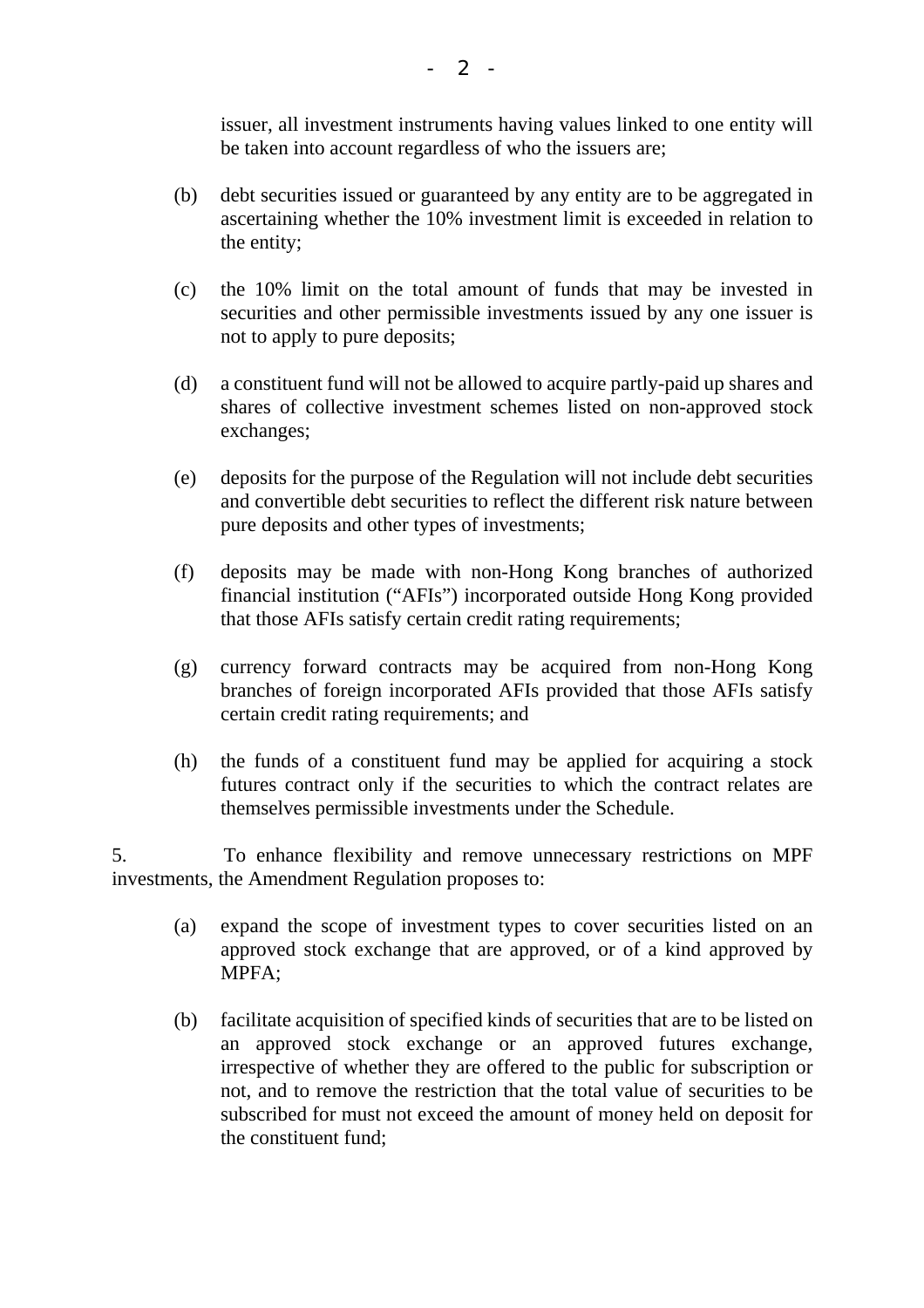issuer, all investment instruments having values linked to one entity will be taken into account regardless of who the issuers are;

- (b) debt securities issued or guaranteed by any entity are to be aggregated in ascertaining whether the 10% investment limit is exceeded in relation to the entity;
- (c) the 10% limit on the total amount of funds that may be invested in securities and other permissible investments issued by any one issuer is not to apply to pure deposits;
- (d) a constituent fund will not be allowed to acquire partly-paid up shares and shares of collective investment schemes listed on non-approved stock exchanges;
- (e) deposits for the purpose of the Regulation will not include debt securities and convertible debt securities to reflect the different risk nature between pure deposits and other types of investments;
- (f) deposits may be made with non-Hong Kong branches of authorized financial institution ("AFIs") incorporated outside Hong Kong provided that those AFIs satisfy certain credit rating requirements;
- (g) currency forward contracts may be acquired from non-Hong Kong branches of foreign incorporated AFIs provided that those AFIs satisfy certain credit rating requirements; and
- (h) the funds of a constituent fund may be applied for acquiring a stock futures contract only if the securities to which the contract relates are themselves permissible investments under the Schedule.

5. To enhance flexibility and remove unnecessary restrictions on MPF investments, the Amendment Regulation proposes to:

- (a) expand the scope of investment types to cover securities listed on an approved stock exchange that are approved, or of a kind approved by MPFA;
- (b) facilitate acquisition of specified kinds of securities that are to be listed on an approved stock exchange or an approved futures exchange, irrespective of whether they are offered to the public for subscription or not, and to remove the restriction that the total value of securities to be subscribed for must not exceed the amount of money held on deposit for the constituent fund;